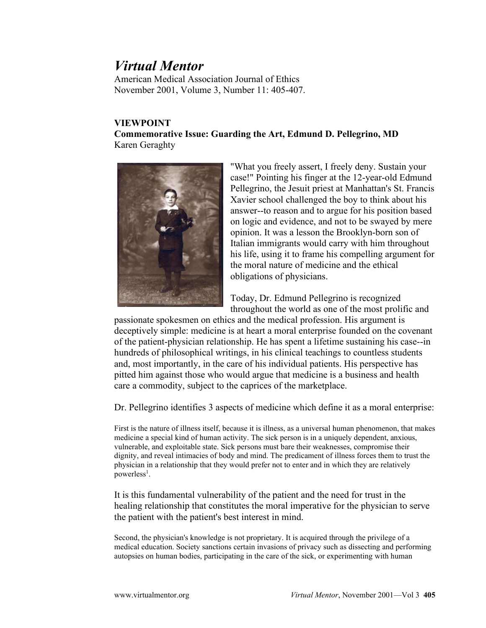## *Virtual Mentor*

American Medical Association Journal of Ethics November 2001, Volume 3, Number 11: 405-407.

## **VIEWPOINT**

**Commemorative Issue: Guarding the Art, Edmund D. Pellegrino, MD** Karen Geraghty



"What you freely assert, I freely deny. Sustain your case!" Pointing his finger at the 12-year-old Edmund Pellegrino, the Jesuit priest at Manhattan's St. Francis Xavier school challenged the boy to think about his answer--to reason and to argue for his position based on logic and evidence, and not to be swayed by mere opinion. It was a lesson the Brooklyn-born son of Italian immigrants would carry with him throughout his life, using it to frame his compelling argument for the moral nature of medicine and the ethical obligations of physicians.

Today, Dr. Edmund Pellegrino is recognized throughout the world as one of the most prolific and

passionate spokesmen on ethics and the medical profession. His argument is deceptively simple: medicine is at heart a moral enterprise founded on the covenant of the patient-physician relationship. He has spent a lifetime sustaining his case--in hundreds of philosophical writings, in his clinical teachings to countless students and, most importantly, in the care of his individual patients. His perspective has pitted him against those who would argue that medicine is a business and health care a commodity, subject to the caprices of the marketplace.

Dr. Pellegrino identifies 3 aspects of medicine which define it as a moral enterprise:

First is the nature of illness itself, because it is illness, as a universal human phenomenon, that makes medicine a special kind of human activity. The sick person is in a uniquely dependent, anxious, vulnerable, and exploitable state. Sick persons must bare their weaknesses, compromise their dignity, and reveal intimacies of body and mind. The predicament of illness forces them to trust the physician in a relationship that they would prefer not to enter and in which they are relatively powerless<sup>1</sup>.

It is this fundamental vulnerability of the patient and the need for trust in the healing relationship that constitutes the moral imperative for the physician to serve the patient with the patient's best interest in mind.

Second, the physician's knowledge is not proprietary. It is acquired through the privilege of a medical education. Society sanctions certain invasions of privacy such as dissecting and performing autopsies on human bodies, participating in the care of the sick, or experimenting with human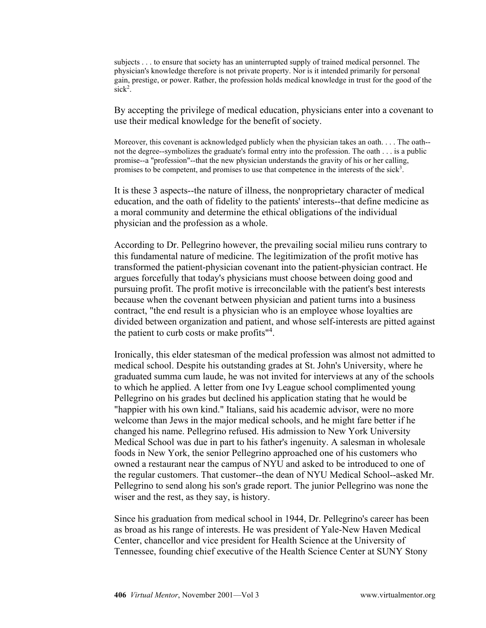subjects . . . to ensure that society has an uninterrupted supply of trained medical personnel. The physician's knowledge therefore is not private property. Nor is it intended primarily for personal gain, prestige, or power. Rather, the profession holds medical knowledge in trust for the good of the sick<sup>2</sup>.

By accepting the privilege of medical education, physicians enter into a covenant to use their medical knowledge for the benefit of society.

Moreover, this covenant is acknowledged publicly when the physician takes an oath... The oath-not the degree--symbolizes the graduate's formal entry into the profession. The oath . . . is a public promise--a "profession"--that the new physician understands the gravity of his or her calling, promises to be competent, and promises to use that competence in the interests of the sick<sup>3</sup>.

It is these 3 aspects--the nature of illness, the nonproprietary character of medical education, and the oath of fidelity to the patients' interests--that define medicine as a moral community and determine the ethical obligations of the individual physician and the profession as a whole.

According to Dr. Pellegrino however, the prevailing social milieu runs contrary to this fundamental nature of medicine. The legitimization of the profit motive has transformed the patient-physician covenant into the patient-physician contract. He argues forcefully that today's physicians must choose between doing good and pursuing profit. The profit motive is irreconcilable with the patient's best interests because when the covenant between physician and patient turns into a business contract, "the end result is a physician who is an employee whose loyalties are divided between organization and patient, and whose self-interests are pitted against the patient to curb costs or make profits"<sup>4</sup>.

Ironically, this elder statesman of the medical profession was almost not admitted to medical school. Despite his outstanding grades at St. John's University, where he graduated summa cum laude, he was not invited for interviews at any of the schools to which he applied. A letter from one Ivy League school complimented young Pellegrino on his grades but declined his application stating that he would be "happier with his own kind." Italians, said his academic advisor, were no more welcome than Jews in the major medical schools, and he might fare better if he changed his name. Pellegrino refused. His admission to New York University Medical School was due in part to his father's ingenuity. A salesman in wholesale foods in New York, the senior Pellegrino approached one of his customers who owned a restaurant near the campus of NYU and asked to be introduced to one of the regular customers. That customer--the dean of NYU Medical School--asked Mr. Pellegrino to send along his son's grade report. The junior Pellegrino was none the wiser and the rest, as they say, is history.

Since his graduation from medical school in 1944, Dr. Pellegrino's career has been as broad as his range of interests. He was president of Yale-New Haven Medical Center, chancellor and vice president for Health Science at the University of Tennessee, founding chief executive of the Health Science Center at SUNY Stony